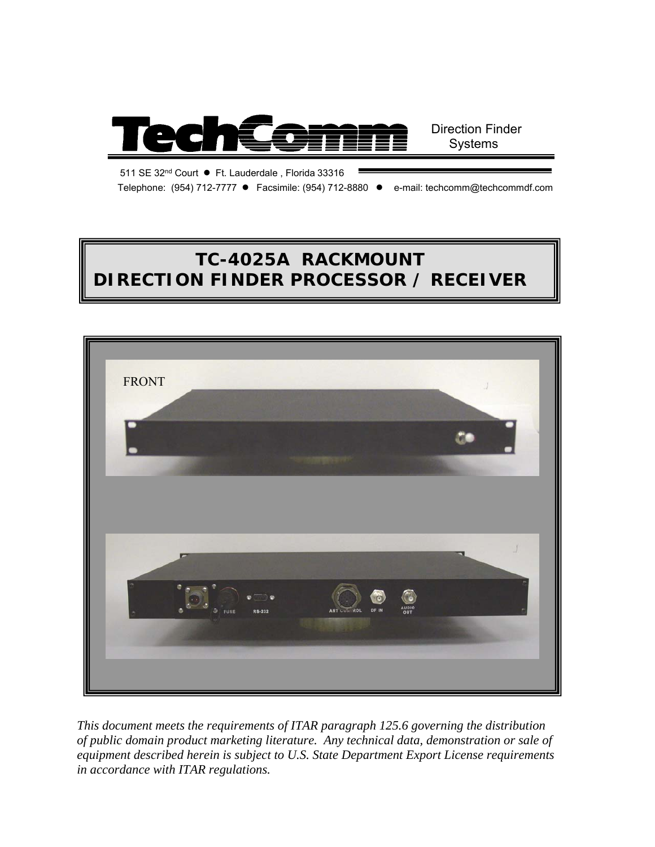

511 SE 32nd Court ● Ft. Lauderdale , Florida 33316

Telephone: (954) 712-7777 ● Facsimile: (954) 712-8880 ● e-mail: techcomm@techcommdf.com

# **TC-4025A RACKMOUNT DIRECTION FINDER PROCESSOR / RECEIVER**



*This document meets the requirements of ITAR paragraph 125.6 governing the distribution of public domain product marketing literature. Any technical data, demonstration or sale of equipment described herein is subject to U.S. State Department Export License requirements in accordance with ITAR regulations.*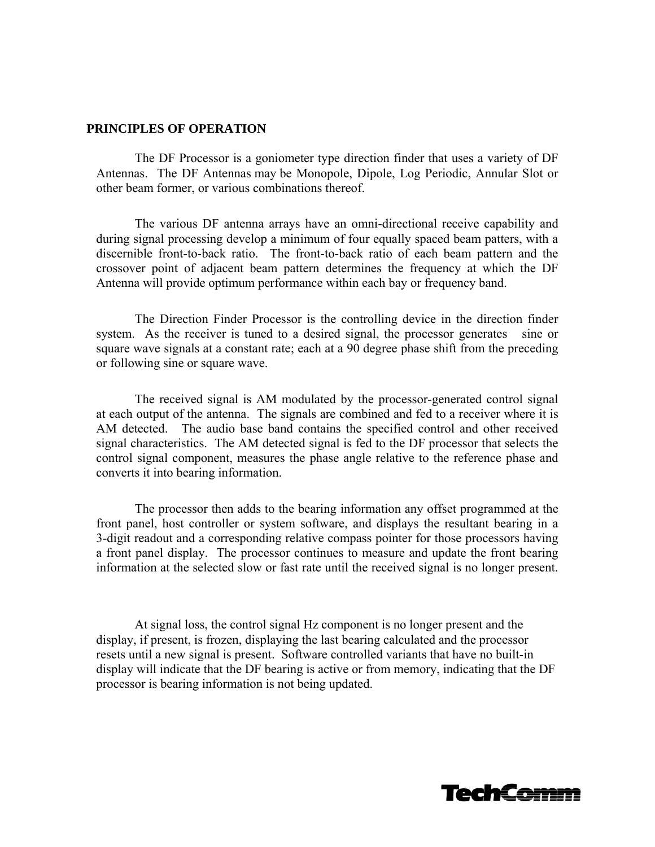#### **PRINCIPLES OF OPERATION**

The DF Processor is a goniometer type direction finder that uses a variety of DF Antennas. The DF Antennas may be Monopole, Dipole, Log Periodic, Annular Slot or other beam former, or various combinations thereof.

The various DF antenna arrays have an omni-directional receive capability and during signal processing develop a minimum of four equally spaced beam patters, with a discernible front-to-back ratio. The front-to-back ratio of each beam pattern and the crossover point of adjacent beam pattern determines the frequency at which the DF Antenna will provide optimum performance within each bay or frequency band.

The Direction Finder Processor is the controlling device in the direction finder system. As the receiver is tuned to a desired signal, the processor generates sine or square wave signals at a constant rate; each at a 90 degree phase shift from the preceding or following sine or square wave.

The received signal is AM modulated by the processor-generated control signal at each output of the antenna. The signals are combined and fed to a receiver where it is AM detected. The audio base band contains the specified control and other received signal characteristics. The AM detected signal is fed to the DF processor that selects the control signal component, measures the phase angle relative to the reference phase and converts it into bearing information.

The processor then adds to the bearing information any offset programmed at the front panel, host controller or system software, and displays the resultant bearing in a 3-digit readout and a corresponding relative compass pointer for those processors having a front panel display. The processor continues to measure and update the front bearing information at the selected slow or fast rate until the received signal is no longer present.

At signal loss, the control signal Hz component is no longer present and the display, if present, is frozen, displaying the last bearing calculated and the processor resets until a new signal is present. Software controlled variants that have no built-in display will indicate that the DF bearing is active or from memory, indicating that the DF processor is bearing information is not being updated.

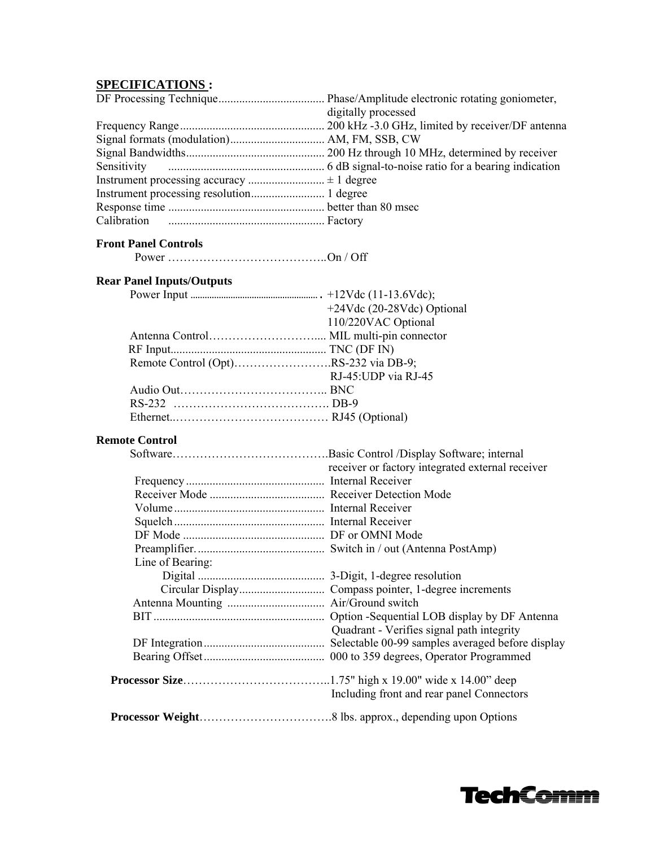## **SPECIFICATIONS :**

| digitally processed |  |
|---------------------|--|
|                     |  |
|                     |  |
|                     |  |
|                     |  |
|                     |  |
|                     |  |
|                     |  |
|                     |  |

### **Front Panel Controls**

Power ………………………………….. On / Off

#### **Rear Panel Inputs/Outputs**

|                                      | $+24Vdc$ (20-28Vdc) Optional |
|--------------------------------------|------------------------------|
|                                      | 110/220VAC Optional          |
|                                      |                              |
|                                      |                              |
| Remote Control (Opt)RS-232 via DB-9; |                              |
|                                      | RJ-45: UDP via RJ-45         |
|                                      |                              |
|                                      |                              |
|                                      |                              |
|                                      |                              |

#### **Remote Control**

|                  | Basic Control /Display Software; internal        |
|------------------|--------------------------------------------------|
|                  | receiver or factory integrated external receiver |
|                  |                                                  |
|                  |                                                  |
|                  |                                                  |
|                  |                                                  |
|                  |                                                  |
|                  |                                                  |
| Line of Bearing: |                                                  |
|                  |                                                  |
|                  |                                                  |
|                  |                                                  |
|                  |                                                  |
|                  | Quadrant - Verifies signal path integrity        |
|                  |                                                  |
|                  |                                                  |
|                  |                                                  |
|                  | Including front and rear panel Connectors        |
|                  |                                                  |

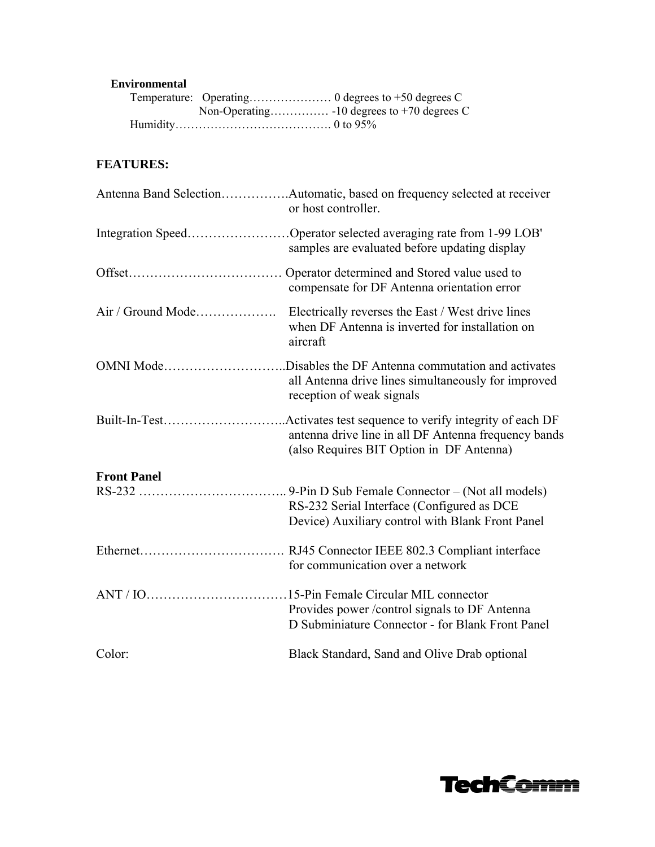#### **Environmental**

# **FEATURES:**

|                    | Antenna Band SelectionAutomatic, based on frequency selected at receiver<br>or host controller.                                                            |
|--------------------|------------------------------------------------------------------------------------------------------------------------------------------------------------|
|                    | Integration SpeedOperator selected averaging rate from 1-99 LOB'<br>samples are evaluated before updating display                                          |
|                    | Operator determined and Stored value used to<br>compensate for DF Antenna orientation error                                                                |
| Air / Ground Mode  | Electrically reverses the East / West drive lines<br>when DF Antenna is inverted for installation on<br>aircraft                                           |
|                    | OMNI ModeDisables the DF Antenna commutation and activates<br>all Antenna drive lines simultaneously for improved<br>reception of weak signals             |
| Built-In-Test      | Activates test sequence to verify integrity of each DF<br>antenna drive line in all DF Antenna frequency bands<br>(also Requires BIT Option in DF Antenna) |
| <b>Front Panel</b> |                                                                                                                                                            |
|                    | RS-232 Serial Interface (Configured as DCE<br>Device) Auxiliary control with Blank Front Panel                                                             |
|                    | for communication over a network                                                                                                                           |
|                    | .15-Pin Female Circular MIL connector<br>Provides power / control signals to DF Antenna<br>D Subminiature Connector - for Blank Front Panel                |
| Color:             | Black Standard, Sand and Olive Drab optional                                                                                                               |